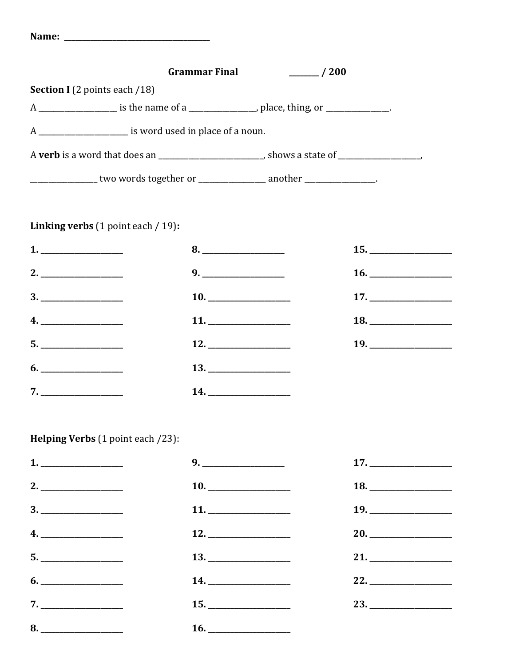|                                                             | <b>Grammar Final</b> | $\sim$ /200                                                                                               |  |
|-------------------------------------------------------------|----------------------|-----------------------------------------------------------------------------------------------------------|--|
| <b>Section I</b> (2 points each /18)                        |                      |                                                                                                           |  |
|                                                             |                      | A _____________________ is the name of a ______________________, place, thing, or _______________.        |  |
| A ________________________ is word used in place of a noun. |                      |                                                                                                           |  |
|                                                             |                      | A <b>verb</b> is a word that does an ____________________________, shows a state of _____________________ |  |
|                                                             |                      | _______________ two words together or ________________ another ________________.                          |  |
|                                                             |                      |                                                                                                           |  |

## Linking verbs (1 point each / 19):

| 1.                                |    |  |
|-----------------------------------|----|--|
| 2.                                | 9. |  |
|                                   |    |  |
| 4.                                |    |  |
| $\begin{array}{c} 5. \end{array}$ |    |  |
| 6.                                |    |  |
|                                   |    |  |

## Helping Verbs (1 point each /23):

| 1.                                                                                                                                                                                                                                                                                                                                                                                                                                                                                                                                                                                                   | 17. |
|------------------------------------------------------------------------------------------------------------------------------------------------------------------------------------------------------------------------------------------------------------------------------------------------------------------------------------------------------------------------------------------------------------------------------------------------------------------------------------------------------------------------------------------------------------------------------------------------------|-----|
|                                                                                                                                                                                                                                                                                                                                                                                                                                                                                                                                                                                                      | 18. |
| $\begin{array}{c} 3. \ \ \  \, \textcolor{red}{\overline{\text{---}}} \ \ \textcolor{red}{\overline{\text{---}}} \ \ \textcolor{red}{\overline{\text{---}}} \ \ \textcolor{red}{\overline{\text{---}}} \ \ \textcolor{red}{\overline{\text{---}}} \ \ \textcolor{red}{\overline{\text{---}}} \ \ \textcolor{red}{\overline{\text{---}}} \ \ \textcolor{red}{\overline{\text{---}}} \ \ \textcolor{red}{\overline{\text{---}}} \ \ \textcolor{red}{\overline{\text{---}}} \ \ \textcolor{red}{\overline{\text{---}}} \ \ \textcolor{red}{\overline{\text{---}}} \ \ \textcolor{red}{\overline{\text{$ | 19. |
| 4.                                                                                                                                                                                                                                                                                                                                                                                                                                                                                                                                                                                                   | 20. |
| $5. \underline{\hspace{2cm}}$                                                                                                                                                                                                                                                                                                                                                                                                                                                                                                                                                                        | 21. |
| $6. \underline{\hspace{1.5cm}}$                                                                                                                                                                                                                                                                                                                                                                                                                                                                                                                                                                      | 22. |
|                                                                                                                                                                                                                                                                                                                                                                                                                                                                                                                                                                                                      |     |
|                                                                                                                                                                                                                                                                                                                                                                                                                                                                                                                                                                                                      |     |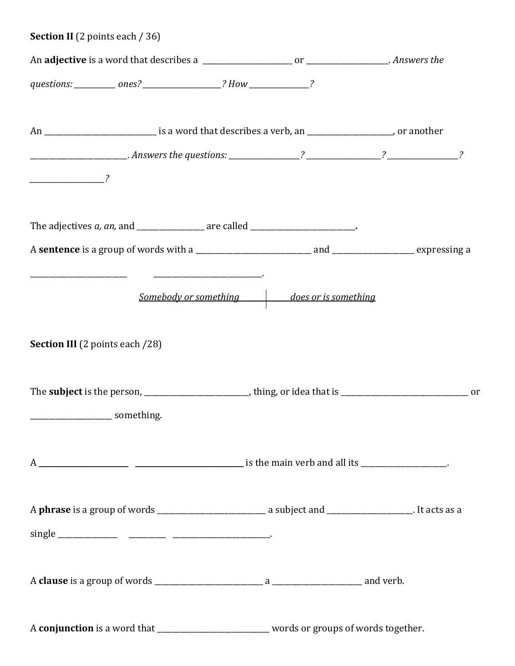| <b>Section II</b> (2 points each / 36)                                                                                                                                                                                                                                                                                                                                                                                                                                          |                                            |  |
|---------------------------------------------------------------------------------------------------------------------------------------------------------------------------------------------------------------------------------------------------------------------------------------------------------------------------------------------------------------------------------------------------------------------------------------------------------------------------------|--------------------------------------------|--|
|                                                                                                                                                                                                                                                                                                                                                                                                                                                                                 |                                            |  |
| questions: _________ ones? ____________________? How ________________?                                                                                                                                                                                                                                                                                                                                                                                                          |                                            |  |
| An _______________________________ is a word that describes a verb, an ____________________, or another                                                                                                                                                                                                                                                                                                                                                                         |                                            |  |
|                                                                                                                                                                                                                                                                                                                                                                                                                                                                                 |                                            |  |
| $\overline{\phantom{a}}$ $\overline{\phantom{a}}$ $\overline{\phantom{a}}$ $\overline{\phantom{a}}$ $\overline{\phantom{a}}$ $\overline{\phantom{a}}$ $\overline{\phantom{a}}$ $\overline{\phantom{a}}$ $\overline{\phantom{a}}$ $\overline{\phantom{a}}$ $\overline{\phantom{a}}$ $\overline{\phantom{a}}$ $\overline{\phantom{a}}$ $\overline{\phantom{a}}$ $\overline{\phantom{a}}$ $\overline{\phantom{a}}$ $\overline{\phantom{a}}$ $\overline{\phantom{a}}$ $\overline{\$ |                                            |  |
|                                                                                                                                                                                                                                                                                                                                                                                                                                                                                 |                                            |  |
|                                                                                                                                                                                                                                                                                                                                                                                                                                                                                 |                                            |  |
|                                                                                                                                                                                                                                                                                                                                                                                                                                                                                 | Somebody or something does or is something |  |
| <b>Section III</b> (2 points each /28)                                                                                                                                                                                                                                                                                                                                                                                                                                          |                                            |  |
|                                                                                                                                                                                                                                                                                                                                                                                                                                                                                 |                                            |  |
|                                                                                                                                                                                                                                                                                                                                                                                                                                                                                 |                                            |  |
|                                                                                                                                                                                                                                                                                                                                                                                                                                                                                 |                                            |  |
|                                                                                                                                                                                                                                                                                                                                                                                                                                                                                 |                                            |  |
|                                                                                                                                                                                                                                                                                                                                                                                                                                                                                 |                                            |  |
|                                                                                                                                                                                                                                                                                                                                                                                                                                                                                 |                                            |  |
| A conjunction is a word that ____________________________ words or groups of words together.                                                                                                                                                                                                                                                                                                                                                                                    |                                            |  |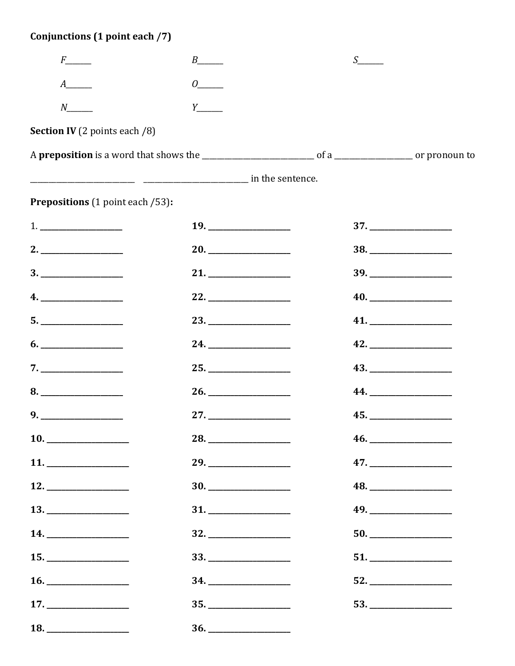## Conjunctions (1 point each /7)

| $F$ <sub>____</sub>                                                                                                                                                                                                                                                                                                                                                                                                                                                                                                                                  | $B$ <sub>______</sub>          | S |                                |
|------------------------------------------------------------------------------------------------------------------------------------------------------------------------------------------------------------------------------------------------------------------------------------------------------------------------------------------------------------------------------------------------------------------------------------------------------------------------------------------------------------------------------------------------------|--------------------------------|---|--------------------------------|
|                                                                                                                                                                                                                                                                                                                                                                                                                                                                                                                                                      | $0$ <sub>_____</sub>           |   |                                |
| $N_{\perp}$                                                                                                                                                                                                                                                                                                                                                                                                                                                                                                                                          |                                |   |                                |
| <b>Section IV</b> (2 points each /8)                                                                                                                                                                                                                                                                                                                                                                                                                                                                                                                 |                                |   |                                |
|                                                                                                                                                                                                                                                                                                                                                                                                                                                                                                                                                      |                                |   |                                |
|                                                                                                                                                                                                                                                                                                                                                                                                                                                                                                                                                      |                                |   |                                |
| <b>Prepositions</b> (1 point each /53):                                                                                                                                                                                                                                                                                                                                                                                                                                                                                                              |                                |   |                                |
|                                                                                                                                                                                                                                                                                                                                                                                                                                                                                                                                                      | 19.                            |   |                                |
|                                                                                                                                                                                                                                                                                                                                                                                                                                                                                                                                                      |                                |   |                                |
| $\begin{array}{c} \n3. \quad \text{---} \quad \text{---} \quad \text{---} \quad \text{---} \quad \text{---} \quad \text{---} \quad \text{---} \quad \text{---} \quad \text{---} \quad \text{---} \quad \text{---} \quad \text{---} \quad \text{---} \quad \text{---} \quad \text{---} \quad \text{---} \quad \text{---} \quad \text{---} \quad \text{---} \quad \text{---} \quad \text{---} \quad \text{---} \quad \text{---} \quad \text{---} \quad \text{---} \quad \text{---} \quad \text{---} \quad \text{---} \quad \text{---} \quad \text{---$ | 21.                            |   | $39. \underline{\hspace{2cm}}$ |
|                                                                                                                                                                                                                                                                                                                                                                                                                                                                                                                                                      |                                |   |                                |
|                                                                                                                                                                                                                                                                                                                                                                                                                                                                                                                                                      | 23.                            |   |                                |
|                                                                                                                                                                                                                                                                                                                                                                                                                                                                                                                                                      | 24.                            |   | 42.                            |
| 7.                                                                                                                                                                                                                                                                                                                                                                                                                                                                                                                                                   |                                |   |                                |
| 8.                                                                                                                                                                                                                                                                                                                                                                                                                                                                                                                                                   |                                |   |                                |
| $9. \underline{\hspace{1.5cm}}$                                                                                                                                                                                                                                                                                                                                                                                                                                                                                                                      |                                |   | 45.                            |
| 10.                                                                                                                                                                                                                                                                                                                                                                                                                                                                                                                                                  | 28.                            |   |                                |
| 11.                                                                                                                                                                                                                                                                                                                                                                                                                                                                                                                                                  | 29.                            |   | 47.                            |
|                                                                                                                                                                                                                                                                                                                                                                                                                                                                                                                                                      |                                |   | 48.                            |
| 13.                                                                                                                                                                                                                                                                                                                                                                                                                                                                                                                                                  | $31. \underline{\hspace{2cm}}$ |   | 49.                            |
|                                                                                                                                                                                                                                                                                                                                                                                                                                                                                                                                                      |                                |   |                                |
| 15.                                                                                                                                                                                                                                                                                                                                                                                                                                                                                                                                                  |                                |   | 51.                            |
| 16.                                                                                                                                                                                                                                                                                                                                                                                                                                                                                                                                                  | 34. ____________________       |   | 52.                            |
|                                                                                                                                                                                                                                                                                                                                                                                                                                                                                                                                                      |                                |   |                                |
|                                                                                                                                                                                                                                                                                                                                                                                                                                                                                                                                                      |                                |   |                                |